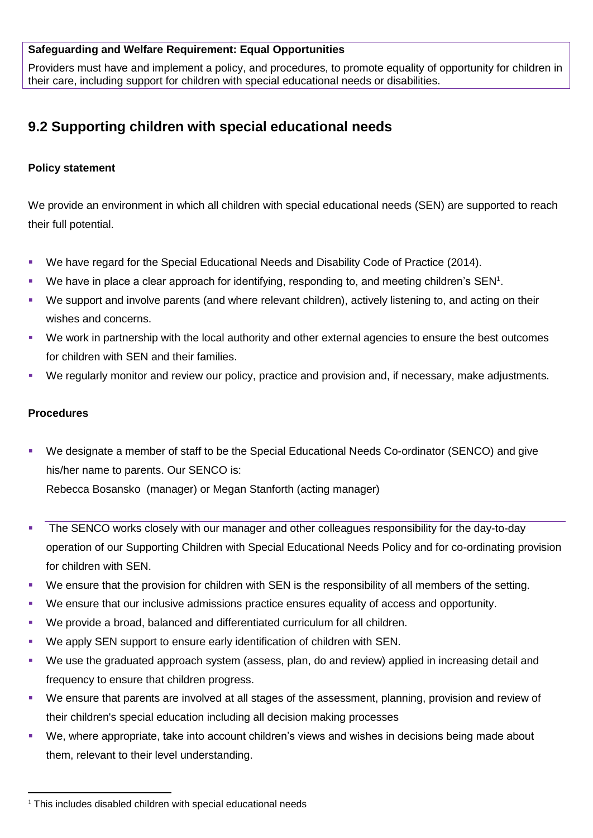# **Safeguarding and Welfare Requirement: Equal Opportunities**

Providers must have and implement a policy, and procedures, to promote equality of opportunity for children in their care, including support for children with special educational needs or disabilities.

# **9.2 Supporting children with special educational needs**

### **Policy statement**

We provide an environment in which all children with special educational needs (SEN) are supported to reach their full potential.

- We have regard for the Special Educational Needs and Disability Code of Practice (2014).
- $\blacksquare$  We have in place a clear approach for identifying, responding to, and meeting children's SEN<sup>1</sup>.
- We support and involve parents (and where relevant children), actively listening to, and acting on their wishes and concerns.
- We work in partnership with the local authority and other external agencies to ensure the best outcomes for children with SEN and their families.
- We regularly monitor and review our policy, practice and provision and, if necessary, make adjustments.

#### **Procedures**

- We designate a member of staff to be the Special Educational Needs Co-ordinator (SENCO) and give his/her name to parents. Our SENCO is: Rebecca Bosansko (manager) or Megan Stanforth (acting manager)
- The SENCO works closely with our manager and other colleagues responsibility for the day-to-day operation of our Supporting Children with Special Educational Needs Policy and for co-ordinating provision for children with SEN.
- We ensure that the provision for children with SEN is the responsibility of all members of the setting.
- We ensure that our inclusive admissions practice ensures equality of access and opportunity.
- We provide a broad, balanced and differentiated curriculum for all children.
- We apply SEN support to ensure early identification of children with SEN.
- We use the graduated approach system (assess, plan, do and review) applied in increasing detail and frequency to ensure that children progress.
- We ensure that parents are involved at all stages of the assessment, planning, provision and review of their children's special education including all decision making processes
- We, where appropriate, take into account children's views and wishes in decisions being made about them, relevant to their level understanding.

 $\overline{a}$  $1$  This includes disabled children with special educational needs